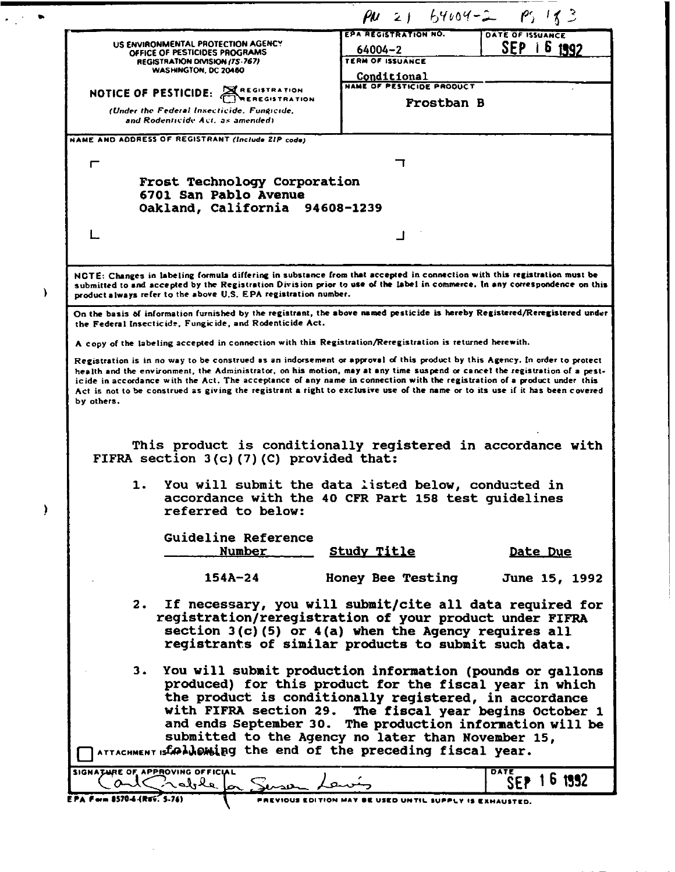|                                                                                                                                                                                                                                                           | $\mu$ 2) $64.04 - 2 - 195$ 18 3    |                         |  |  |
|-----------------------------------------------------------------------------------------------------------------------------------------------------------------------------------------------------------------------------------------------------------|------------------------------------|-------------------------|--|--|
|                                                                                                                                                                                                                                                           | <b>EPA REGISTRATION NO.</b>        | <b>DATE OF ISSUANCE</b> |  |  |
| US ENVIRONMENTAL PROTECTION AGENCY<br>OFFICE OF PESTICIDES PROGRAMS                                                                                                                                                                                       | 64004-2<br><b>TERM OF ISSUANCE</b> | SEP 16 1992             |  |  |
| REGISTRATION DIVISION (75-767)<br>WASHINGTON, DC 20460                                                                                                                                                                                                    | Conditional                        |                         |  |  |
| NOTICE OF PESTICIDE: AREGISTRATION                                                                                                                                                                                                                        | <b>NAME OF PESTICIDE PRODUCT</b>   |                         |  |  |
|                                                                                                                                                                                                                                                           | Frostban B                         |                         |  |  |
| (Under the Federal Insecticide, Fungicide,<br>and Rodenticide Act. as amended)                                                                                                                                                                            |                                    |                         |  |  |
| NAME AND ADDRESS OF REGISTRANT (Include ZIP code)                                                                                                                                                                                                         |                                    |                         |  |  |
|                                                                                                                                                                                                                                                           |                                    |                         |  |  |
| ┍                                                                                                                                                                                                                                                         |                                    |                         |  |  |
| Frost Technology Corporation                                                                                                                                                                                                                              |                                    |                         |  |  |
| 6701 San Pablo Avenue<br>Oakland, California 94608-1239                                                                                                                                                                                                   |                                    |                         |  |  |
|                                                                                                                                                                                                                                                           |                                    |                         |  |  |
|                                                                                                                                                                                                                                                           |                                    |                         |  |  |
|                                                                                                                                                                                                                                                           |                                    |                         |  |  |
|                                                                                                                                                                                                                                                           |                                    |                         |  |  |
| NGTE: Changes in labeling formula differing in substance from that accepted in connection with this registration must be<br>submitted to and accepted by the Registration Division prior to use of the label in commerce. In any correspondence on this   |                                    |                         |  |  |
| product always refer to the above U.S. EPA registration number.                                                                                                                                                                                           |                                    |                         |  |  |
| On the basis of information furnished by the registrant, the above named pesticide is hereby Registered/Reregistered under<br>the Federal Insecticide, Fungicide, and Rodenticide Act.                                                                    |                                    |                         |  |  |
| A copy of the labeling accepted in connection with this Registration/Reregistration is returned herewith.                                                                                                                                                 |                                    |                         |  |  |
| Registration is in no way to be construed as an indorsement or approval of this product by this Agency. In order to protect                                                                                                                               |                                    |                         |  |  |
| health and the environment, the Administrator, on his motion, may at any time suspend or cancel the registration of a pest-                                                                                                                               |                                    |                         |  |  |
| icide in accordance with the Act. The acceptance of any name in connection with the registration of a product under this<br>Act is not to be construed as giving the registrant a right to exclusive use of the name or to its use if it has been covered |                                    |                         |  |  |
| by others.                                                                                                                                                                                                                                                |                                    |                         |  |  |
|                                                                                                                                                                                                                                                           |                                    |                         |  |  |
|                                                                                                                                                                                                                                                           |                                    |                         |  |  |
| This product is conditionally registered in accordance with<br>FIFRA section 3(c)(7)(C) provided that:                                                                                                                                                    |                                    |                         |  |  |
|                                                                                                                                                                                                                                                           |                                    |                         |  |  |
| 1. You will submit the data listed below, conducted in                                                                                                                                                                                                    |                                    |                         |  |  |
| accordance with the 40 CFR Part 158 test quidelines                                                                                                                                                                                                       |                                    |                         |  |  |
| referred to below:                                                                                                                                                                                                                                        |                                    |                         |  |  |
| Guideline Reference                                                                                                                                                                                                                                       |                                    |                         |  |  |
| Number                                                                                                                                                                                                                                                    | <u>Study Title</u>                 | Date Due                |  |  |
|                                                                                                                                                                                                                                                           |                                    |                         |  |  |
| 154A-24                                                                                                                                                                                                                                                   | <b>Honey Bee Testing</b>           | June 15, 1992           |  |  |
| 2.                                                                                                                                                                                                                                                        |                                    |                         |  |  |
| If necessary, you will submit/cite all data required for<br>registration/reregistration of your product under FIFRA                                                                                                                                       |                                    |                         |  |  |
| section $3(c)$ (5) or $4(a)$ when the Agency requires all                                                                                                                                                                                                 |                                    |                         |  |  |
| registrants of similar products to submit such data.                                                                                                                                                                                                      |                                    |                         |  |  |
|                                                                                                                                                                                                                                                           |                                    |                         |  |  |
| 3. You will submit production information (pounds or gallons<br>produced) for this product for the fiscal year in which                                                                                                                                   |                                    |                         |  |  |
| the product is conditionally registered, in accordance                                                                                                                                                                                                    |                                    |                         |  |  |
| with FIFRA section 29. The fiscal year begins October 1                                                                                                                                                                                                   |                                    |                         |  |  |
| and ends September 30. The production information will be                                                                                                                                                                                                 |                                    |                         |  |  |
| submitted to the Agency no later than November 15,                                                                                                                                                                                                        |                                    |                         |  |  |
| ATTACHMENT IS COLLONING the end of the preceding fiscal year.                                                                                                                                                                                             |                                    |                         |  |  |
|                                                                                                                                                                                                                                                           |                                    |                         |  |  |
| SIGNATURE OF APPROVING OFFICIAL                                                                                                                                                                                                                           |                                    | DATE                    |  |  |
| al noble la Sus<br>EPA Form 8570-6-(REV. 5-76)                                                                                                                                                                                                            |                                    | 1 6 1992<br>SEP.        |  |  |

 $\bullet$ 

 $\bar{\pmb{\mathsf{y}}}$ 

 $\overline{\mathbf{y}}$ 

 $\ddot{\bullet}$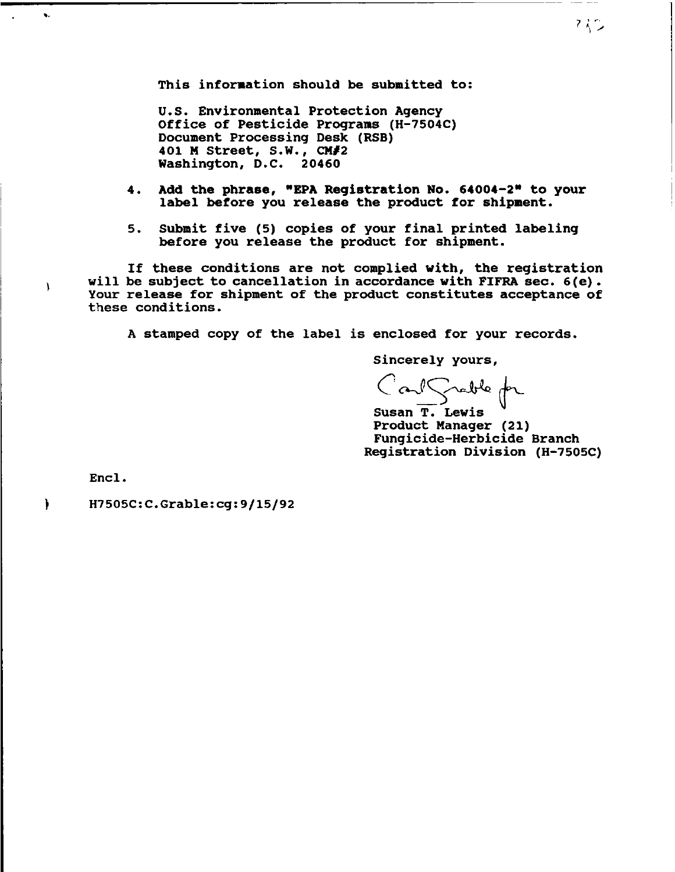This information should be submitted to:

U.S. Environmental Protection Agency Office of Pesticide Programs (H-1S04C) Document Processing Desk (RSB) 401 M street, s.W., *CM/2*  Washington, D.C. 20460

- 4. Add the phrase, "EPA Registration No. 64004-2" to your label before you release the product for shipment.
- 5. Submit five (5) copies of your final printed labeling before you release the product for shipment.

If these conditions are not complied with, the registration will be subject to cancellation in accordance with FIFRA sec. 6(e). Your release for shipment of the product constitutes acceptance of these conditions.

A stamped copy of the label is enclosed for your records.

Sincerely yours,

Carl Scable for

Susan T. Lewis Product Manager (21) Fungicide-Herbicide Branch Registration Division (H-1S0SC)

Encl.

 $\lambda$ 

<sup>}</sup>

H1505C:C.Grable:cg:9/15/92

 $\sim$  7  $\,$   $\sim$  7  $\,$   $\sim$  7  $\,$   $\sim$  7  $\,$   $\sim$  7  $\,$   $\sim$  7  $\,$   $\sim$  7  $\,$   $\sim$  7  $\,$   $\sim$  7  $\,$   $\sim$  7  $\,$   $\sim$  7  $\,$   $\sim$  7  $\,$   $\sim$  7  $\,$   $\sim$  7  $\,$   $\sim$  7  $\,$   $\sim$  7  $\,$   $\sim$  7  $\,$   $\sim$  7  $\,$   $\sim$  " "